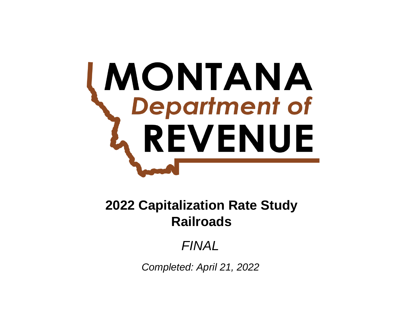# **MONTANA**<br>Department of REVENUE

# **Railroads 2022 Capitalization Rate Study**

# *FINAL*

*Completed: April 21, 2022*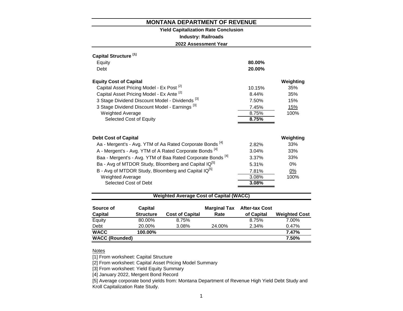#### **Yield Capitalization Rate Conclusion**

**Industry: Railroads**

**2022 Assessment Year**

| Capital Structure <sup>[1]</sup>                                       |        |           |
|------------------------------------------------------------------------|--------|-----------|
| Equity                                                                 | 80.00% |           |
| Debt                                                                   | 20.00% |           |
| <b>Equity Cost of Capital</b>                                          |        | Weighting |
| Capital Asset Pricing Model - Ex Post <sup>[2]</sup>                   | 10.15% | 35%       |
| Capital Asset Pricing Model - Ex Ante [2]                              | 8.44%  | 35%       |
| 3 Stage Dividend Discount Model - Dividends [3]                        | 7.50%  | 15%       |
| 3 Stage Dividend Discount Model - Earnings <sup>[3]</sup>              | 7.45%  | 15%       |
| <b>Weighted Average</b>                                                | 8.75%  | 100%      |
| Selected Cost of Equity                                                | 8.75%  |           |
| <b>Debt Cost of Capital</b>                                            |        | Weighting |
| Aa - Mergent's - Avg. YTM of Aa Rated Corporate Bonds <sup>[4]</sup>   | 2.82%  | 33%       |
| A - Mergent's - Avg. YTM of A Rated Corporate Bonds <sup>[4]</sup>     | 3.04%  | 33%       |
| Baa - Mergent's - Avg. YTM of Baa Rated Corporate Bonds <sup>[4]</sup> | 3.37%  | 33%       |
| Ba - Avg of MTDOR Study, Bloomberg and Capital IQ <sup>[5]</sup>       | 5.31%  | $0\%$     |
| B - Avg of MTDOR Study, Bloomberg and Capital IQ <sup>[5]</sup>        | 7.81%  | 0%        |
| <b>Weighted Average</b>                                                | 3.08%  | 100%      |
| Selected Cost of Debt                                                  | 3.08%  |           |
|                                                                        |        |           |

#### **Weighted Average Cost of Capital (WACC)**

| Source of             | Capital          |                        | <b>Marginal Tax</b> | <b>After-tax Cost</b> |                      |
|-----------------------|------------------|------------------------|---------------------|-----------------------|----------------------|
| <b>Capital</b>        | <b>Structure</b> | <b>Cost of Capital</b> | Rate                | of Capital            | <b>Weighted Cost</b> |
| Equity                | 80.00%           | 8.75%                  |                     | 8.75%                 | 7.00%                |
| Debt                  | 20.00%           | 3.08%                  | 24.00%              | 2.34%                 | 0.47%                |
| <b>WACC</b>           | 100.00%          |                        |                     |                       | 7.47%                |
| <b>WACC (Rounded)</b> |                  |                        |                     |                       | 7.50%                |

# **Notes**

[1] From worksheet: Capital Structure

[2] From worksheet: Capital Asset Pricing Model Summary

[3] From worksheet: Yield Equity Summary

[4] January 2022, Mergent Bond Record

[5] Average corporate bond yields from: Montana Department of Revenue High Yield Debt Study and Kroll Capitalization Rate Study.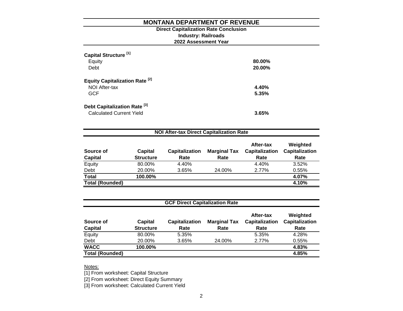# **2022 Assessment Year Industry: Railroads Direct Capitalization Rate Conclusion**

| Capital Structure <sup>[1]</sup><br>Equity<br>Debt         | 80.00%<br>20.00% |
|------------------------------------------------------------|------------------|
| Equity Capitalization Rate <sup>[2]</sup><br>NOI After-tax | 4.40%            |
| <b>GCF</b>                                                 | 5.35%            |
| Debt Capitalization Rate <sup>[3]</sup>                    |                  |
| <b>Calculated Current Yield</b>                            | 3.65%            |

| <b>NOI After-tax Direct Capitalization Rate</b> |                  |                       |                     |                             |                                   |  |  |
|-------------------------------------------------|------------------|-----------------------|---------------------|-----------------------------|-----------------------------------|--|--|
| Source of                                       | Capital          | <b>Capitalization</b> | <b>Marginal Tax</b> | After-tax<br>Capitalization | Weighted<br><b>Capitalization</b> |  |  |
| <b>Capital</b>                                  | <b>Structure</b> | Rate                  | Rate                | Rate                        | Rate                              |  |  |
| Equity                                          | 80.00%           | 4.40%                 |                     | 4.40%                       | 3.52%                             |  |  |
| Debt                                            | 20.00%           | 3.65%                 | 24.00%              | 2.77%                       | 0.55%                             |  |  |
| <b>Total</b>                                    | 100.00%          |                       |                     |                             | 4.07%                             |  |  |
| <b>Total (Rounded)</b>                          |                  |                       |                     |                             | 4.10%                             |  |  |

| <b>GCF Direct Capitalization Rate</b> |                             |                               |                             |                                            |                                           |  |  |  |
|---------------------------------------|-----------------------------|-------------------------------|-----------------------------|--------------------------------------------|-------------------------------------------|--|--|--|
| Source of<br><b>Capital</b>           | Capital<br><b>Structure</b> | <b>Capitalization</b><br>Rate | <b>Marginal Tax</b><br>Rate | After-tax<br><b>Capitalization</b><br>Rate | Weighted<br><b>Capitalization</b><br>Rate |  |  |  |
| Equity                                | 80.00%                      | 5.35%                         |                             | 5.35%                                      | 4.28%                                     |  |  |  |
| Debt                                  | 20.00%                      | 3.65%                         | 24.00%                      | 2.77%                                      | 0.55%                                     |  |  |  |
| <b>WACC</b>                           | 100.00%                     |                               |                             |                                            | 4.83%                                     |  |  |  |
| <b>Total (Rounded)</b>                |                             |                               |                             |                                            | 4.85%                                     |  |  |  |

Notes:

[1] From worksheet: Capital Structure

[2] From worksheet: Direct Equity Summary

[3] From worksheet: Calculated Current Yield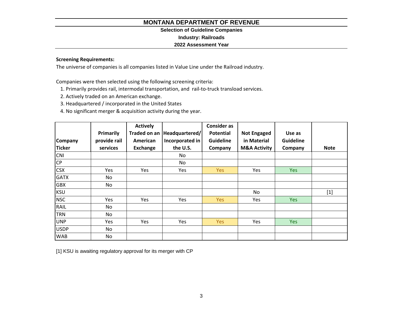## **Selection of Guideline Companies**

**Industry: Railroads**

# **2022 Assessment Year**

# **Screening Requirements:**

The universe of companies is all companies listed in Value Line under the Railroad industry.

Companies were then selected using the following screening criteria:

1. Primarily provides rail, intermodal transportation, and rail-to-truck transload services.

2. Actively traded on an American exchange.

3. Headquartered / incorporated in the United States

4. No significant merger & acquisition activity during the year.

|                |              | <b>Actively</b> |                              | <b>Consider as</b> |                         |                  |             |
|----------------|--------------|-----------------|------------------------------|--------------------|-------------------------|------------------|-------------|
|                | Primarily    |                 | Traded on an  Headquartered/ | <b>Potential</b>   | <b>Not Engaged</b>      | Use as           |             |
| <b>Company</b> | provide rail | American        | Incorporated in              | <b>Guideline</b>   | in Material             | <b>Guideline</b> |             |
| Ticker         | services     | <b>Exchange</b> | the U.S.                     | Company            | <b>M&amp;A Activity</b> | Company          | <b>Note</b> |
| <b>CNI</b>     |              |                 | No                           |                    |                         |                  |             |
| CP             |              |                 | No                           |                    |                         |                  |             |
| <b>CSX</b>     | <b>Yes</b>   | Yes             | Yes                          | <b>Yes</b>         | Yes                     | <b>Yes</b>       |             |
| <b>GATX</b>    | No           |                 |                              |                    |                         |                  |             |
| <b>GBX</b>     | No           |                 |                              |                    |                         |                  |             |
| KSU            |              |                 |                              |                    | No.                     |                  | $[1]$       |
| <b>NSC</b>     | Yes          | Yes             | Yes                          | Yes                | Yes                     | Yes              |             |
| RAIL           | No           |                 |                              |                    |                         |                  |             |
| <b>TRN</b>     | No           |                 |                              |                    |                         |                  |             |
| UNP            | Yes          | Yes             | Yes                          | <b>Yes</b>         | Yes                     | Yes              |             |
| <b>USDP</b>    | No           |                 |                              |                    |                         |                  |             |
| <b>WAB</b>     | No           |                 |                              |                    |                         |                  |             |

[1] KSU is awaiting regulatory approval for its merger with CP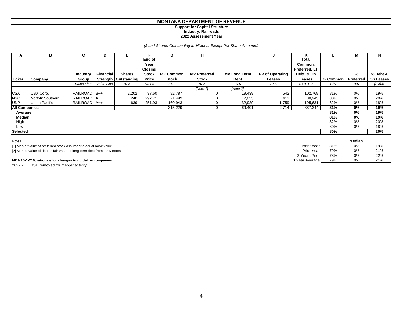#### **MONTANA DEPARTMENT OF REVENUE Support for Capital Structure**

#### **Industry: Railroads**

#### **2022 Assessment Year**

#### *(\$ and Shares Outstanding In Millions, Except Per Share Amounts)*

|                      |                      |                 | D                | Е                      |                | G                | н                   |                     |                        | ĸ             |          | М         | N         |
|----------------------|----------------------|-----------------|------------------|------------------------|----------------|------------------|---------------------|---------------------|------------------------|---------------|----------|-----------|-----------|
|                      |                      |                 |                  |                        | <b>End of</b>  |                  |                     |                     |                        | Total         |          |           |           |
|                      |                      |                 |                  |                        | Year           |                  |                     |                     |                        | Common,       |          |           |           |
|                      |                      |                 |                  |                        | <b>Closing</b> |                  |                     |                     |                        | Preferred, LT |          |           |           |
|                      |                      | <b>Industry</b> | <b>Financial</b> | <b>Shares</b>          | <b>Stock</b>   | <b>MV Common</b> | <b>MV Preferred</b> | <b>MV Long Term</b> | <b>PV of Operating</b> | Debt, & Op    |          | %         | % Debt &  |
| <b>Ticker</b>        | Company              | Group           |                  | Strength   Outstanding | Price          | <b>Stock</b>     | <b>Stock</b>        | Debt                | Leases                 | Leases        | % Common | Preferred | Op Leases |
|                      |                      | Value Line      | Value Line       | $10-K$                 | Yahoo          | ExF              | 10-K                | $10-K$              | $10-K$                 | $G+H+I+J$     | G/K      | H/K       | $(l+J)/K$ |
|                      |                      |                 |                  |                        |                |                  | [Note 1]            | [Note 2]            |                        |               |          |           |           |
| <b>CSX</b>           | CSX Corp.            | RAILROAD B++    |                  | 2,202                  | 37.60          | 82,787           | 0                   | 19,439              | 542                    | 102,768       | 81%      | 0%        | 19%       |
| <b>NSC</b>           | Norfolk Southern     | RAILROAD A+     |                  | 240                    | 297.71         | 71,499           |                     | 17,033              | 413                    | 88,945        | 80%      | 0%        | 20%       |
| <b>UNP</b>           | <b>Union Pacific</b> | RAILROAD A++    |                  | 639                    | 251.93         | 160,943          |                     | 32,929              | 759. ا                 | 195,631       | 82%      | 0%        | 18%       |
| <b>All Companies</b> |                      |                 |                  |                        |                | 315,229          | 0                   | 69,401              | 2,714                  | 387,344       | 81%      | 0%        | 19%       |
| Average              |                      |                 |                  |                        |                |                  |                     |                     |                        |               | 81%      | 0%        | 19%       |
| Median               |                      |                 |                  |                        |                |                  |                     |                     |                        |               | 81%      | 0%        | 19%       |
| High                 |                      |                 |                  |                        |                |                  |                     |                     |                        |               | 82%      | $0\%$     | 20%       |
| Low                  |                      |                 |                  |                        |                |                  |                     |                     |                        |               | 80%      | 0%        | 18%       |
| Selected             |                      |                 |                  |                        |                |                  |                     |                     |                        |               | 80%      |           | 20%       |

| <b>Notes</b>                                                             |                |     | Median |     |  |
|--------------------------------------------------------------------------|----------------|-----|--------|-----|--|
| [1] Market value of preferred stock assumed to equal book value          | Current Year   | 81% | 0%     | 19% |  |
| [2] Market value of debt is fair value of long term debt from 10-K notes | Prior Year     | 79% | 0%     | 21% |  |
|                                                                          | 2 Years Prior  | 78% | 0%     | 22% |  |
| MCA 15-1-210, rationale for changes to guideline companies:              | 3 Year Average | 79% | 0%     | 21% |  |

2022 - KSU removed for merger activity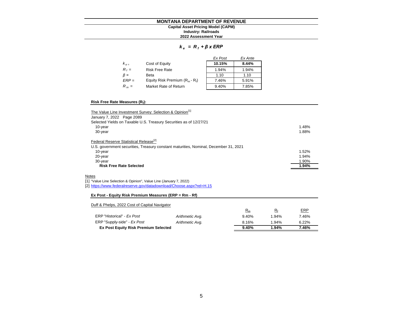#### **MONTANA DEPARTMENT OF REVENUE 2022 Assessment Year Industry: Railroads Capital Asset Pricing Model (CAPM)**

#### *k e = R <sup>f</sup> + β x ERP*

|           |                                   | Ex Post | Ex Ante |
|-----------|-----------------------------------|---------|---------|
| $k_{e}$   | Cost of Equity                    | 10.15%  | 8.44%   |
| $R_f =$   | <b>Risk Free Rate</b>             | 1.94%   | 1.94%   |
| $\beta =$ | Beta                              | 1.10    | 1.10    |
| $ERP =$   | Equity Risk Premium $(R_m - R_f)$ | 7.46%   | 5.91%   |
| $R_m =$   | Market Rate of Return             | 9.40%   | 7.85%   |

#### **Risk Free Rate Measures (R<sup>f</sup> ):**

| The Value Line Investment Survey: Selection & Opinion <sup>[1]</sup><br>January 7, 2022 Page 2089 |       |
|---------------------------------------------------------------------------------------------------|-------|
| Selected Yields on Taxable U.S. Treasury Securities as of 12/27/21                                |       |
| 10-year                                                                                           | 1.48% |
| 30-year                                                                                           | 1.88% |
| Federal Reserve Statistical Release <sup>[2]</sup>                                                |       |
| U.S. government securities, Treasury constant maturities, Nominal, December 31, 2021              |       |
| 10-year                                                                                           | 1.52% |
| 20-year                                                                                           | 1.94% |
| 30-year                                                                                           | 1.90% |
| <b>Risk Free Rate Selected</b>                                                                    | 1.94% |
| Notes                                                                                             |       |
| [1] "Value Line Selection & Opinion", Value Line (January 7, 2022)                                |       |
| [2] https://www.federalreserve.gov/datadownload/Choose.aspx?rel=H.15                              |       |
| Ex Post - Equity Risk Premium Measures (ERP = Rm - Rf)                                            |       |
| Duff & Phelps, 2022 Cost of Capital Navigator                                                     |       |

|                                             |                 | $R_{m}$ | $R_{f}$  | <b>ERP</b> |
|---------------------------------------------|-----------------|---------|----------|------------|
| ERP "Historical" - Ex Post                  | Arithmetic Avg. | 9.40%   | 1.94%    | 7.46%      |
| ERP "Supply-side" - Ex Post                 | Arithmetic Avg. | 8.16%   | $1.94\%$ | 6.22%      |
| <b>Ex Post Equity Risk Premium Selected</b> |                 | 9.40%   | 1.94%    | 7.46%      |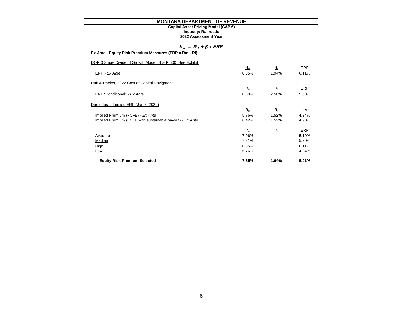#### **Industry: Railroads Capital Asset Pricing Model (CAPM)**

#### **2022 Assessment Year**

# *k e = R <sup>f</sup> + β x ERP*

# **Ex Ante - Equity Risk Premium Measures (ERP = Rm - Rf)**

| <b>Equity Risk Premium Selected</b>                       | 7.85% | 1.94%       | 5.91% |
|-----------------------------------------------------------|-------|-------------|-------|
|                                                           |       |             |       |
| Low                                                       | 5.76% |             | 4.24% |
| High                                                      | 8.05% |             | 6.11% |
| Median                                                    | 7.21% |             | 5.20% |
| Average                                                   | 7.06% |             | 5.19% |
|                                                           | $R_m$ | $R_{\rm f}$ | ERP   |
| Implied Premium (FCFE with sustainable payout) - Ex Ante  | 6.42% | 1.52%       | 4.90% |
| Implied Premium (FCFE) - Ex Ante                          | 5.76% | 1.52%       | 4.24% |
|                                                           | $R_m$ | $R_{f}$     | ERP   |
| Damodaran Implied ERP (Jan 5, 2022)                       |       |             |       |
|                                                           |       |             |       |
| ERP "Conditional" - Ex Ante                               | 8.00% | 2.50%       | 5.50% |
|                                                           | $R_m$ | $R_{\rm f}$ | ERP   |
| Duff & Phelps, 2022 Cost of Capital Navigator             |       |             |       |
| ERP - Ex Ante                                             | 8.05% | 1.94%       | 6.11% |
|                                                           | $R_m$ | $R_{\rm f}$ | ERP   |
| DOR 3 Stage Dividend Growth Model, S & P 500, See Exhibit |       |             |       |
|                                                           |       |             |       |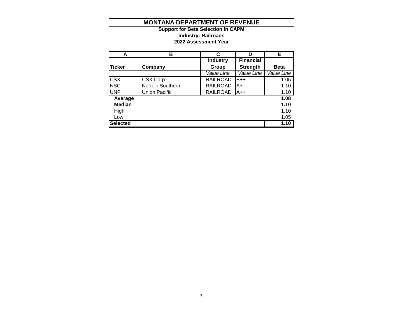**2022 Assessment Year Industry: Railroads Support for Beta Selection in CAPM**

| A               | в                | C               | D                | Е           |
|-----------------|------------------|-----------------|------------------|-------------|
|                 |                  | <b>Industry</b> | <b>Financial</b> |             |
| <b>Ticker</b>   | Company          | Group           | <b>Strength</b>  | <b>Beta</b> |
|                 |                  | Value Line      | Value Line       | Value Line  |
| <b>CSX</b>      | CSX Corp.        | <b>RAILROAD</b> | $B++$            | 1.05        |
| <b>NSC</b>      | Norfolk Southern | <b>RAILROAD</b> | lA+              | 1.10        |
| <b>UNP</b>      | Union Pacific    | <b>RAILROAD</b> | $A++$            | 1.10        |
| Average         |                  |                 |                  | 1.08        |
| <b>Median</b>   |                  |                 |                  | 1.10        |
| High            |                  |                 |                  | 1.10        |
| Low             |                  |                 |                  | 1.05        |
| <b>Selected</b> |                  |                 |                  | 1.10        |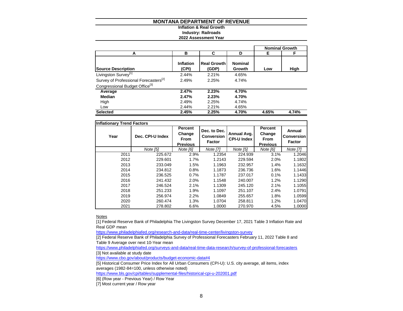#### **Inflation & Real Growth Industry: Railroads 2022 Assessment Year**

|                                                   |                    |                             |                          |       | <b>Nominal Growth</b> |
|---------------------------------------------------|--------------------|-----------------------------|--------------------------|-------|-----------------------|
| А                                                 | в                  | С                           | D                        | Е     | F                     |
| <b>Source Description</b>                         | Inflation<br>(CPI) | <b>Real Growth</b><br>(GDP) | <b>Nominal</b><br>Growth | Low   | High                  |
| Livingston Survey <sup>[1]</sup>                  | 2.44%              | 2.21%                       | 4.65%                    |       |                       |
| Survey of Professional Forecasters <sup>[2]</sup> | 2.49%              | 2.25%                       | 4.74%                    |       |                       |
| Congressional Budget Office <sup>[3]</sup>        |                    |                             |                          |       |                       |
| Average                                           | 2.47%              | 2.23%                       | 4.70%                    |       |                       |
| Median                                            | 2.47%              | 2.23%                       | 4.70%                    |       |                       |
| High                                              | 2.49%              | 2.25%                       | 4.74%                    |       |                       |
| Low                                               | 2.44%              | 2.21%                       | 4.65%                    |       |                       |
| <b>Selected</b>                                   | 2.45%              | 2.25%                       | 4.70%                    | 4.65% | 4.74%                 |

|      | <b>Inflationary Trend Factors</b> |                                                            |                                                    |                                   |                                                     |                                              |  |  |  |  |  |  |  |  |  |
|------|-----------------------------------|------------------------------------------------------------|----------------------------------------------------|-----------------------------------|-----------------------------------------------------|----------------------------------------------|--|--|--|--|--|--|--|--|--|
| Year | Dec. CPI-U Index                  | <b>Percent</b><br>Change<br><b>From</b><br><b>Previous</b> | Dec. to Dec.<br><b>Conversion</b><br><b>Factor</b> | Annual Avg.<br><b>CPI-U Index</b> | Percent<br>Change<br><b>From</b><br><b>Previous</b> | Annual<br><b>Conversion</b><br><b>Factor</b> |  |  |  |  |  |  |  |  |  |
|      | Note [5]                          | Note [6]                                                   | <b>Note [7]</b>                                    | Note [5]                          | Note [6]                                            | <b>Note [7]</b>                              |  |  |  |  |  |  |  |  |  |
| 2011 | 225.672                           | 2.9%                                                       | 1.2354                                             | 224.939                           | 3.1%                                                | 1.2046                                       |  |  |  |  |  |  |  |  |  |
| 2012 | 229.601                           | 1.7%                                                       | 1.2143                                             | 229.594                           | 2.0%                                                | 1.1802                                       |  |  |  |  |  |  |  |  |  |
| 2013 | 233.049                           | 1.5%                                                       | 1.1963                                             | 232.957                           | 1.4%                                                | 1.1632                                       |  |  |  |  |  |  |  |  |  |
| 2014 | 234.812                           | 0.8%                                                       | 1.1873                                             | 236.736                           | 1.6%                                                | 1.1446                                       |  |  |  |  |  |  |  |  |  |
| 2015 | 236.525                           | 0.7%                                                       | 1.1787                                             | 237.017                           | 0.1%                                                | 1.1433                                       |  |  |  |  |  |  |  |  |  |
| 2016 | 241.432                           | 2.0%                                                       | 1.1548                                             | 240.007                           | 1.2%                                                | 1.1290                                       |  |  |  |  |  |  |  |  |  |
| 2017 | 246.524                           | 2.1%                                                       | 1.1309                                             | 245.120                           | 2.1%                                                | 1.1055                                       |  |  |  |  |  |  |  |  |  |
| 2018 | 251.233                           | 1.9%                                                       | 1.1097                                             | 251.107                           | 2.4%                                                | 1.0791                                       |  |  |  |  |  |  |  |  |  |
| 2019 | 256.974                           | 2.2%                                                       | 1.0849                                             | 255.657                           | 1.8%                                                | 1.0599                                       |  |  |  |  |  |  |  |  |  |
| 2020 | 260.474                           | 1.3%                                                       | 1.0704                                             | 258.811                           | 1.2%                                                | 1.0470                                       |  |  |  |  |  |  |  |  |  |
| 2021 | 278.802                           | 6.6%                                                       | 1.0000                                             | 270.970                           | 4.5%                                                | 1.0000                                       |  |  |  |  |  |  |  |  |  |

**Notes** 

[1] Federal Reserve Bank of Philadelphia The Livingston Survey December 17, 2021 Table 3 Inflation Rate and Real GDP mean

<https://www.philadelphiafed.org/research-and-data/real-time-center/livingston-survey>

[2] Federal Reserve Bank of Philadelphia Survey of Professional Forecasters February 11, 2022 Table 8 and Table 9 Average over next 10-Year mean

<https://www.philadelphiafed.org/surveys-and-data/real-time-data-research/survey-of-professional-forecasters> [3] Not available at study date

<https://www.cbo.gov/about/products/budget-economic-data#4>

[5] Historical Consumer Price Index for All Urban Consumers (CPI-U): U.S. city average, all items, index averages (1982-84=100, unless otherwise noted)

<https://www.bls.gov/cpi/tables/supplemental-files/historical-cpi-u-202001.pdf>

[6] (Row year - Previous Year) / Row Year

[7] Most current year / Row year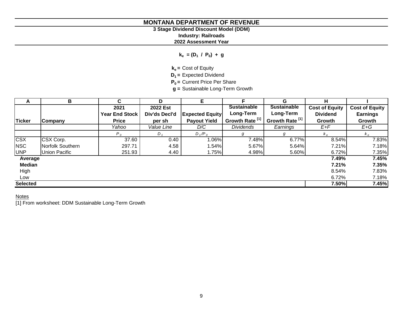# **3 Stage Dividend Discount Model (DDM)**

**Industry: Railroads**

**2022 Assessment Year**

**ke = (D<sup>1</sup> / P<sup>0</sup> ) + g**

**ke =** Cost of Equity

**D1 =** Expected Dividend

**P0 =** Current Price Per Share

**g =** Sustainable Long-Term Growth

| A               | В                | C.                    | D             | Е                      |                            | G                          | н                     |                       |
|-----------------|------------------|-----------------------|---------------|------------------------|----------------------------|----------------------------|-----------------------|-----------------------|
|                 |                  | 2021                  | 2022 Est      |                        | <b>Sustainable</b>         | <b>Sustainable</b>         | <b>Cost of Equity</b> | <b>Cost of Equity</b> |
|                 |                  | <b>Year End Stock</b> | Div'ds Decl'd | <b>Expected Equity</b> | Long-Term                  | Long-Term                  | <b>Dividend</b>       | <b>Earnings</b>       |
| <b>Ticker</b>   | <b>Company</b>   | <b>Price</b>          | per sh        | <b>Payout Yield</b>    | Growth Rate <sup>[1]</sup> | Growth Rate <sup>[1]</sup> | Growth                | Growth                |
|                 |                  | Yahoo                 | Value Line    | D/C                    | <b>Dividends</b>           | Earnings                   | E+F                   | $E+G$                 |
|                 |                  | P <sub>0</sub>        | $D_1$         | $D_1/P_0$              | g                          | g                          | $k_e$                 | $k_e$                 |
| <b>CSX</b>      | CSX Corp.        | 37.60                 | 0.40          | $1.06\%$               | 7.48%                      | 6.77%                      | 8.54%                 | 7.83%                 |
| <b>NSC</b>      | Norfolk Southern | 297.71                | 4.58          | $1.54\%$               | 5.67%                      | 5.64%                      | 7.21%                 | 7.18%                 |
| <b>UNP</b>      | Union Pacific    | 251.93                | 4.40          | 1.75%                  | 4.98%                      | 5.60%                      | 6.72%                 | 7.35%                 |
| Average         |                  |                       |               |                        |                            |                            | 7.49%                 | 7.45%                 |
| <b>Median</b>   |                  |                       |               |                        |                            |                            | 7.21%                 | 7.35%                 |
| High            |                  |                       |               |                        |                            |                            | 8.54%                 | 7.83%                 |
| Low             |                  |                       |               |                        |                            |                            | 6.72%                 | 7.18%                 |
| <b>Selected</b> |                  |                       |               |                        |                            |                            | 7.50%                 | 7.45%                 |

**Notes** 

[1] From worksheet: DDM Sustainable Long-Term Growth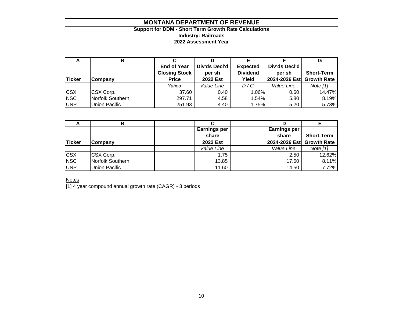# **Support for DDM - Short Term Growth Rate Calculations Industry: Railroads 2022 Assessment Year**

| A             |                      |                      |                 |                 |                           | G                 |
|---------------|----------------------|----------------------|-----------------|-----------------|---------------------------|-------------------|
|               |                      | <b>End of Year</b>   | Div'ds Decl'd   | <b>Expected</b> | Div'ds Decl'd             |                   |
|               |                      | <b>Closing Stock</b> | per sh          | <b>Dividend</b> | per sh                    | <b>Short-Term</b> |
| <b>Ticker</b> | <b>Company</b>       | <b>Price</b>         | <b>2022 Est</b> | Yield           | 2024-2026 Est Growth Rate |                   |
|               |                      | Yahoo                | Value Line      | D/C             | Value Line                | Note [1]          |
| <b>CSX</b>    | CSX Corp.            | 37.60                | 0.40            | 1.06%           | 0.60                      | 14.47%            |
| <b>NSC</b>    | Norfolk Southern     | 297.71               | 4.58            | 1.54%           | 5.80                      | 8.19%             |
| <b>UNP</b>    | <b>Union Pacific</b> | 251.93               | 4.40            | 1.75%           | 5.20                      | 5.73%             |

|            |                      | <b>Earnings per</b> | <b>Earnings per</b>       |                   |
|------------|----------------------|---------------------|---------------------------|-------------------|
|            |                      | share               | share                     | <b>Short-Term</b> |
| Ticker     | Company              | 2022 Est            | 2024-2026 Est Growth Rate |                   |
|            |                      | Value Line          | Value Line                | Note $[1]$        |
| <b>CSX</b> | CSX Corp.            | 1.75                | 2.50                      | 12.62%            |
| <b>NSC</b> | Norfolk Southern     | 13.85               | 17.50                     | 8.11%             |
| <b>UNP</b> | <b>Union Pacific</b> | 11.60               | 14.50                     | 7.72%             |

**Notes** 

[1] 4 year compound annual growth rate (CAGR) - 3 periods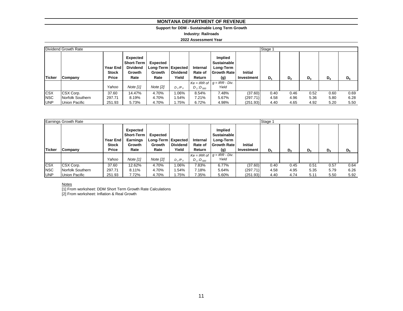#### **Support for DDM - Sustainable Long Term Growth**

**Industry: Railroads**

#### **2022 Assessment Year**

|               | Dividend Growth Rate |                                          |                                                                    |                                                             |                          |                               |                                                                         |                              | Stage 1 |      |       |       |       |
|---------------|----------------------|------------------------------------------|--------------------------------------------------------------------|-------------------------------------------------------------|--------------------------|-------------------------------|-------------------------------------------------------------------------|------------------------------|---------|------|-------|-------|-------|
| <b>Ticker</b> | <b>Company</b>       | <b>Year End</b><br><b>Stock</b><br>Price | Expected<br><b>Short-Term</b><br><b>Dividend</b><br>Growth<br>Rate | <b>Expected</b><br>Long-Term   Expected  <br>Growth<br>Rate | <b>Dividend</b><br>Yield | Internal<br>Rate of<br>Return | Implied<br><b>Sustainable</b><br>Long-Term<br><b>Growth Rate</b><br>(g) | <b>Initial</b><br>Investment | $D_1$   | D,   | $D_3$ | $D_4$ | $D_5$ |
|               |                      | Yahoo                                    | Note $[1]$                                                         | Note $[2]$                                                  | $D_1/P_0$                | $D_1$ : $D_{500}$             | $Ke = IRR$ of $g = IRR - Div.$<br>Yield                                 |                              |         |      |       |       |       |
| <b>CSX</b>    | CSX Corp.            | 37.60                                    | 14.47%                                                             | 4.70%                                                       | 1.06%                    | 8.54%                         | 7.48%                                                                   | (37.60)                      | 0.40    | 0.46 | 0.52  | 0.60  | 0.69  |
| <b>NSC</b>    | Norfolk Southern     | 297.71                                   | 8.19%                                                              | 4.70%                                                       | .54%                     | 7.21%                         | 5.67%                                                                   | (297.71)                     | 4.58    | 4.96 | 5.36  | 5.80  | 6.28  |
| <b>UNP</b>    | Union Pacific        | 251.93                                   | 5.73%                                                              | 4.70%                                                       | 1.75%                    | 6.72%                         | 4.98%                                                                   | (251.93)                     | 4.40    | 4.65 | 4.92  | 5.20  | 5.50  |

|               | <b>Earnings Growth Rate</b> |                                          |                                                                    |                                                    |                          |                               |                                                                         |                              | Stage 1 |                |       |       |       |
|---------------|-----------------------------|------------------------------------------|--------------------------------------------------------------------|----------------------------------------------------|--------------------------|-------------------------------|-------------------------------------------------------------------------|------------------------------|---------|----------------|-------|-------|-------|
| <b>Ticker</b> | <b>Company</b>              | Year End<br><b>Stock</b><br><b>Price</b> | Expected<br><b>Short-Term</b><br><b>Earnings</b><br>Growth<br>Rate | Expected<br>Long-Term   Expected<br>Growth<br>Rate | <b>Dividend</b><br>Yield | Internal<br>Rate of<br>Return | Implied<br><b>Sustainable</b><br>Long-Term<br><b>Growth Rate</b><br>(g) | <b>Initial</b><br>Investment | $D_1$   | D <sub>2</sub> | $D_3$ | $D_4$ | $D_5$ |
|               |                             | Yahoo                                    | Note $[1]$                                                         | Note [2]                                           | $D_1/P_0$                | $D_1$ : $D_{500}$             | $Ke = IRR$ of $g = IRR - Div.$<br>Yield                                 |                              |         |                |       |       |       |
| <b>CSX</b>    | CSX Corp.                   | 37.60                                    | 12.62%                                                             | 4.70%                                              | 1.06%                    | 7.83%                         | 6.77%                                                                   | (37.60)                      | 0.40    | 0.45           | 0.51  | 0.57  | 0.64  |
| <b>NSC</b>    | Norfolk Southern            | 297.71                                   | 8.11%                                                              | 4.70%                                              | 1.54%                    | 7.18%                         | 5.64%                                                                   | (297.71)                     | 4.58    | 4.95           | 5.35  | 5.79  | 6.26  |
| <b>UNP</b>    | Union Pacific               | 251.93                                   | 7.72%                                                              | 4.70%                                              | 1.75%                    | 7.35%                         | 5.60%                                                                   | (251.93)                     | 4.40    | 4.74           | 5.11  | 5.50  | 5.92  |

#### **Notes**

[1] From worksheet: DDM Short Term Growth Rate Calculations [2] From worksheet: Inflation & Real Growth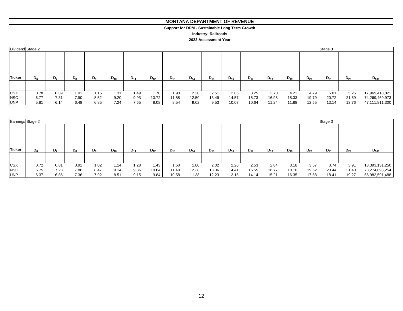#### **MONTANA DEPARTMENT OF REVENUE MONTANA DEPARTMENT OF REVENUE**

#### **Support for DDM - Sustainable Long Term Growth Support for DDM - Sustainable Long Term Growth**

**Industry: Railroads**

#### **2022 Assessment Year**

| Dividend Stage 2 |       |                |       |       |          |          |          |          |          |          |          |          |          |          |          | Stage 3  |          |                |
|------------------|-------|----------------|-------|-------|----------|----------|----------|----------|----------|----------|----------|----------|----------|----------|----------|----------|----------|----------------|
| Ticker           | $D_6$ | D <sub>7</sub> | $D_8$ | $D_9$ | $D_{10}$ | $D_{11}$ | $D_{12}$ | $D_{13}$ | $D_{14}$ | $D_{15}$ | $D_{16}$ | $D_{17}$ | $D_{18}$ | $D_{19}$ | $D_{20}$ | $D_{21}$ | $D_{22}$ | $D_{500}$      |
|                  |       |                |       |       |          |          |          |          |          |          |          |          |          |          |          |          |          |                |
| <b>CSX</b>       | 0.78  | 0.89           | 1.01  | 1.15  | 1.31     | 1.49     | 1.70     | 1.93     | 2.20     | 2.51     | 2.85     | 3.25     | 3.70     | 4.21     | 4.79     | 5.01     | 5.25     | 17,969,418,821 |
| <b>NSC</b>       | 6.77  | 7.31           | 7.90  | 8.52  | 9.20     | 9.93     | 10.72    | 11.58    | 12.50    | 13.49    | 14.57    | 15.73    | 16.98    | 18.33    | 19.79    | 20.72    | 21.69    | 74,269,469,973 |
| <b>UNP</b>       | 5.81  | 6.14           | 6.48  | 6.85  | 7.24     | 7.65     | 8.08     | 8.54     | 9.02     | 9.53     | 10.07    | 10.64    | 11.24    | 11.88    | 12.55    | 13.14    | 13.76    | 47,111,811,300 |

| Earnings Stage 2 |       |       |       |         |          |          |          |          |          |          |          |          |          |          |          | Stage 3  |          |                |
|------------------|-------|-------|-------|---------|----------|----------|----------|----------|----------|----------|----------|----------|----------|----------|----------|----------|----------|----------------|
| <b>Ticker</b>    | $D_6$ | $D_7$ | $D_8$ | $D_{9}$ | $D_{10}$ | $D_{11}$ | $D_{12}$ | $D_{13}$ | $D_{14}$ | $D_{15}$ | $D_{16}$ | $D_{17}$ | $D_{18}$ | $D_{19}$ | $D_{20}$ | $D_{21}$ | $D_{22}$ | $D_{500}$      |
|                  |       |       |       |         |          |          |          |          |          |          |          |          |          |          |          |          |          |                |
| <b>CSX</b>       | 0.72  | 0.81  | 0.91  | 1.02    | 1.14     | 1.28     | 1.43     | 1.60     | 1.80     | 2.02     | 2.26     | 2.53     | 2.84     | 3.18     | 3.57     | 3.74     | 3.91     | 13,393,131,250 |
| <b>NSC</b>       | 6.75  | 7.28  | 7.86  | 8.47    | 9.14     | 9.86     | 10.64    | 11.48    | 12.38    | 13.36    | 14.41    | 15.55    | 16.77    | 18.10    | 19.52    | 20.44    | 21.40    | 73,274,893,254 |
| <b>UNP</b>       | 6.37  | 6.85  | 7.36  | 7.92    | 8.51     | 9.15     | 9.84     | 10.58    | 11.38    | 12.23    | 13.15    | 14.14    | 15.21    | 16.35    | 17.58    | 18.41    | 19.27    | 65,982,591,488 |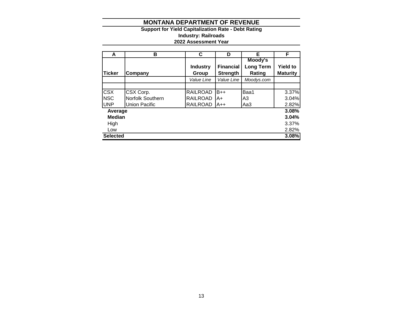## **Support for Yield Capitalization Rate - Debt Rating Industry: Railroads 2022 Assessment Year**

| A               | в                | C               | D                | Е                | F               |
|-----------------|------------------|-----------------|------------------|------------------|-----------------|
|                 |                  |                 |                  | Moody's          |                 |
|                 |                  | <b>Industry</b> | <b>Financial</b> | <b>Long Term</b> | <b>Yield to</b> |
| <b>Ticker</b>   | Company          | Group           | <b>Strength</b>  | Rating           | <b>Maturity</b> |
|                 |                  | Value Line      | Value Line       | Moodys.com       |                 |
|                 |                  |                 |                  |                  |                 |
| <b>CSX</b>      | CSX Corp.        | <b>RAILROAD</b> | B++              | Baa1             | 3.37%           |
| <b>NSC</b>      | Norfolk Southern | <b>RAILROAD</b> | A+               | A3               | 3.04%           |
| <b>UNP</b>      | Union Pacific    | <b>RAILROAD</b> | <b>A++</b>       | Aa3              | 2.82%           |
| Average         |                  |                 |                  |                  | 3.08%           |
| <b>Median</b>   |                  |                 |                  |                  | 3.04%           |
| High            |                  |                 |                  |                  | 3.37%           |
| Low             |                  |                 |                  |                  | 2.82%           |
| <b>Selected</b> |                  |                 |                  |                  | 3.08%           |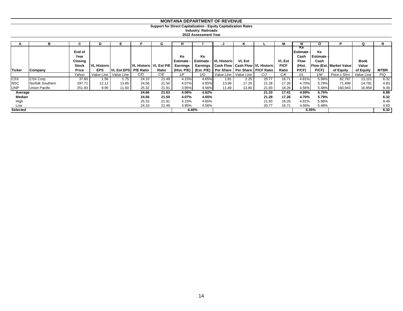**Support for Direct Capitalization - Equity Capitalization Rates**

**Industry: Railroads**

**2022 Assessment Year**

|                 |                  |                                    |                    |                    |                  | ч.                       | н                                 |          |                        |               |                                                | м                            | N                                            | O                               |                                | Q                    |             |
|-----------------|------------------|------------------------------------|--------------------|--------------------|------------------|--------------------------|-----------------------------------|----------|------------------------|---------------|------------------------------------------------|------------------------------|----------------------------------------------|---------------------------------|--------------------------------|----------------------|-------------|
|                 |                  | End of<br>Year<br>Closing<br>Stock | <b>VL Historic</b> |                    |                  | VL Historic   VL Est P/E | Ke<br><b>Estimate</b><br>Earnings | Ke       | Estimate - VL Historic | <b>VL Est</b> | Earnings   Cash Flow   Cash Flow   VL Historic | <b>VL Est</b><br><b>P/CF</b> | Ke<br>l Estimate ⋅<br>Cash<br>Flow<br>(Hist. | Ke<br><b>Estimate -</b><br>Cash | <b>Flow (Est. Market Value</b> | <b>Book</b><br>Value |             |
| Ticker          | Company          | Price                              | <b>EPS</b>         | <b>VL Est EPSI</b> | <b>P/E Ratio</b> | Ratio                    | (Hist. P/E)                       |          |                        |               | (Est. P/E) Per Share   Per Share   P/CF Ratio  | Ratio                        | P(CF)                                        | P(CF)                           | of Equity                      | of Equity            | <b>MTBR</b> |
|                 |                  | Yahoo                              | Value Line         | Value Line         | C/D              | C/E                      | 1/F                               | 1/G      | Value Line             | Value Line    | C/J                                            | C/K                          | 1/L                                          | 1/M                             | Price x Shrs                   | Value Line           | P/Q         |
| <b>CSX</b>      | CSX Corp.        | 37.60                              | 1.56               | 1.75               | 24.10            | 21.49                    | 4.15%                             | 4.65%    | 1.81                   | 2.25          | 20.77                                          | 16.71                        | 4.81%                                        | 5.98%                           | 82,787                         | 13,101               | 6.32        |
| <b>NSC</b>      | Norfolk Southern | 297.71                             | 12.12              | 13.85              | 24.56            | 21.50                    | 4.07%                             | $4.65\%$ | 13.99                  | 17.25         | 21.28                                          | 17.26                        | 4.70%                                        | 5.79%                           | 71,499                         | 14,791               | 4.83        |
| <b>UNP</b>      | Union Pacific    | 251.93                             | 9.95               | 11.50              | 25.32            | 21.91                    | 3.95%                             | 4.56%    | 11.49                  | 13.80         | 21.93                                          | 18.26                        | 4.56%                                        | 5.48%                           | 160,943                        | 16,958               | 9.49        |
| Average         |                  |                                    |                    |                    | 24.66            | 21.63                    | 4.06%                             | 4.62%    |                        |               | 21.33                                          | 17.41                        | 4.69%                                        | 5.75%                           |                                |                      | 6.88        |
| Median          |                  |                                    |                    |                    | 24.56            | 21.50                    | 4.07%                             | 4.65%    |                        |               | 21.28                                          | 17.26                        | 4.70%                                        | 5.79%                           |                                |                      | 6.32        |
| High            |                  |                                    |                    |                    | 25.32            | 21.91                    | 4.15%                             | 4.65%    |                        |               | 21.93                                          | 18.26                        | 4.81%                                        | 5.98%                           |                                |                      | 9.49        |
| Low             |                  |                                    |                    |                    | 24.10            | 21.49                    | 3.95%                             | 4.56%    |                        |               | 20.77                                          | 16.71                        | 4.56%                                        | 5.48%                           |                                |                      | 4.83        |
| <b>Selected</b> |                  |                                    |                    |                    |                  |                          |                                   | 4.40%    |                        |               |                                                |                              |                                              | 5.35%                           |                                |                      | 6.32        |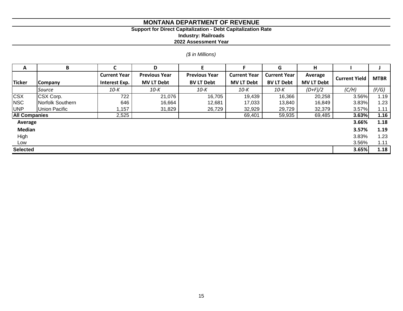## **Support for Direct Capitalization - Debt Capitalization Rate**

**Industry: Railroads**

**2022 Assessment Year**

# *(\$ in Millions)*

| A                    | B                                                                   |               | D                   |                     |                   | G                    | н                 |       |       |
|----------------------|---------------------------------------------------------------------|---------------|---------------------|---------------------|-------------------|----------------------|-------------------|-------|-------|
|                      | <b>Current Year</b><br><b>Previous Year</b><br><b>Previous Year</b> |               | <b>Current Year</b> | <b>Current Year</b> | Average           | <b>Current Yield</b> | <b>MTBR</b>       |       |       |
| <b>Ticker</b>        | Company                                                             | Interest Exp. | <b>MV LT Debt</b>   | <b>BV LT Debt</b>   | <b>MV LT Debt</b> | <b>BV LT Debt</b>    | <b>MV LT Debt</b> |       |       |
|                      | Source                                                              | 10-K          | 10-K                | 10-K                | 10-K              | 10-K                 | $(D+F)/2$         | (C/H) | (F/G) |
| <b>CSX</b>           | CSX Corp.                                                           | 722           | 21,076              | 16,705              | 19,439            | 16,366               | 20,258            | 3.56% | 1.19  |
| <b>NSC</b>           | Norfolk Southern                                                    | 646           | 16,664              | 12,681              | 17,033            | 13,840               | 16,849            | 3.83% | 1.23  |
| <b>UNP</b>           | Union Pacific                                                       | 1,157         | 31,829              | 26,729              | 32,929            | 29,729               | 32,379            | 3.57% | 1.11  |
| <b>All Companies</b> |                                                                     | 2,525         |                     |                     | 69,401            | 59,935               | 69,485            | 3.63% | 1.16  |
| Average              |                                                                     |               |                     |                     |                   |                      |                   | 3.66% | 1.18  |
| Median               |                                                                     |               |                     |                     |                   |                      |                   | 3.57% | 1.19  |
| High                 |                                                                     |               |                     |                     |                   |                      |                   | 3.83% | 1.23  |
| Low                  |                                                                     |               |                     |                     |                   |                      |                   | 3.56% | 1.11  |
| <b>Selected</b>      |                                                                     |               |                     |                     |                   |                      |                   | 3.65% | 1.18  |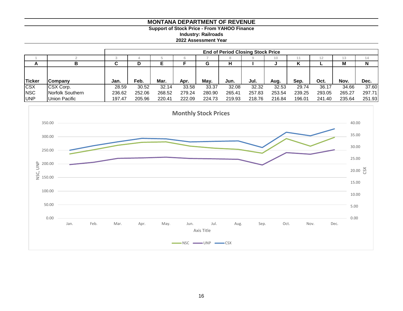# **Support of Stock Price - From YAHOO Finance**

**Industry: Railroads**

**2022 Assessment Year**

|               |                  | <b>End of Period Closing Stock Price</b> |        |        |        |        |        |        |        |        |        |        |        |
|---------------|------------------|------------------------------------------|--------|--------|--------|--------|--------|--------|--------|--------|--------|--------|--------|
|               |                  |                                          |        |        |        |        |        |        | 10     |        |        | 10     |        |
| A             |                  | u                                        | D      |        |        | G      | н      |        |        | r      |        | M      | N      |
|               |                  |                                          |        |        |        |        |        |        |        |        |        |        |        |
| <b>Ticker</b> | <b>Company</b>   | Jan.                                     | Feb.   | Mar.   | Apr.   | May.   | Jun.   | Jul.   | Aug.   | Sep.   | Oct.   | Nov.   | Dec.   |
| <b>CSX</b>    | CSX Corp.        | 28.59                                    | 30.52  | 32.14  | 33.58  | 33.37  | 32.08  | 32.32  | 32.53  | 29.74  | 36.17  | 34.66  | 37.60  |
| <b>NSC</b>    | Norfolk Southern | 236.62                                   | 252.06 | 268.52 | 279.24 | 280.90 | 265.41 | 257.83 | 253.54 | 239.25 | 293.05 | 265.27 | 297.71 |
| <b>UNP</b>    | Union Pacific    | 197.47                                   | 205.96 | 220.41 | 222.09 | 224.73 | 219.93 | 218.76 | 216.84 | 196.01 | 241.40 | 235.64 | 251.93 |